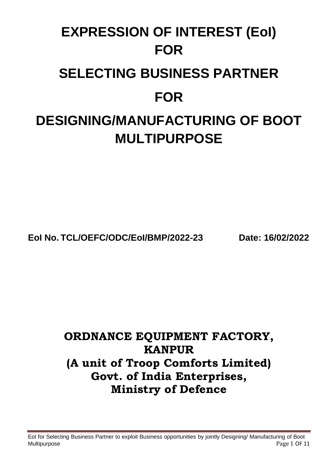# **EXPRESSION OF INTEREST (EoI) FOR SELECTING BUSINESS PARTNER FOR**

## **DESIGNING/MANUFACTURING OF BOOT MULTIPURPOSE**

**EoI No. TCL/OEFC/ODC/EoI/BMP/2022-23 Date: 16/02/2022**

### **ORDNANCE EQUIPMENT FACTORY, KANPUR (A unit of Troop Comforts Limited) Govt. of India Enterprises, Ministry of Defence**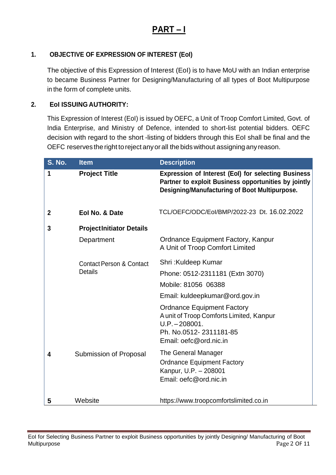### **PART – I**

#### **1. OBJECTIVE OF EXPRESSION OF INTEREST (EoI)**

The objective of this Expression of Interest (EoI) is to have MoU with an Indian enterprise to became Business Partner for Designing/Manufacturing of all types of Boot Multipurpose in the form of complete units.

#### **2. EoI ISSUING AUTHORITY:**

This Expression of Interest (EoI) is issued by OEFC, a Unit of Troop Comfort Limited, Govt. of India Enterprise, and Ministry of Defence, intended to short-list potential bidders. OEFC decision with regard to the short -listing of bidders through this EoI shall be final and the OEFC reserves the right to reject anyorall the bidswithout assigningany reason.

| <b>S. No.</b>                                         | <b>Item</b>                     | <b>Description</b>                                                                                                                                                  |
|-------------------------------------------------------|---------------------------------|---------------------------------------------------------------------------------------------------------------------------------------------------------------------|
| 1                                                     | <b>Project Title</b>            | <b>Expression of Interest (EoI) for selecting Business</b><br>Partner to exploit Business opportunities by jointly<br>Designing/Manufacturing of Boot Multipurpose. |
| $\mathbf{2}$                                          | Eol No. & Date                  | TCL/OEFC/ODC/Eol/BMP/2022-23 Dt. 16.02.2022                                                                                                                         |
| 3                                                     | <b>ProjectInitiator Details</b> |                                                                                                                                                                     |
|                                                       | Department                      | Ordnance Equipment Factory, Kanpur<br>A Unit of Troop Comfort Limited                                                                                               |
| <b>Contact Person &amp; Contact</b><br><b>Details</b> |                                 | Shri: Kuldeep Kumar                                                                                                                                                 |
|                                                       |                                 | Phone: 0512-2311181 (Extn 3070)                                                                                                                                     |
|                                                       |                                 | Mobile: 81056 06388                                                                                                                                                 |
|                                                       |                                 | Email: kuldeepkumar@ord.gov.in                                                                                                                                      |
|                                                       |                                 | <b>Ordnance Equipment Factory</b><br>A unit of Troop Comforts Limited, Kanpur<br>$U.P. - 208001.$<br>Ph. No.0512-2311181-85<br>Email: oefc@ord.nic.in               |
| 4                                                     | Submission of Proposal          | The General Manager<br><b>Ordnance Equipment Factory</b><br>Kanpur, U.P. - 208001<br>Email: oefc@ord.nic.in                                                         |
| 5                                                     | Website                         | https://www.troopcomfortslimited.co.in                                                                                                                              |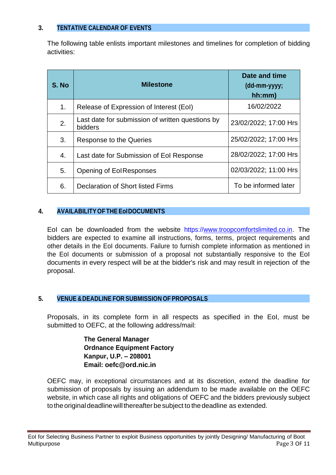#### **3. TENTATIVE CALENDAR OF EVENTS**

The following table enlists important milestones and timelines for completion of bidding activities:

| S. No          | <b>Milestone</b>                                            | Date and time<br>(dd-mm-yyyy;<br>hh:mm) |
|----------------|-------------------------------------------------------------|-----------------------------------------|
| 1 <sub>1</sub> | Release of Expression of Interest (EoI)                     | 16/02/2022                              |
| 2.             | Last date for submission of written questions by<br>bidders | 23/02/2022; 17:00 Hrs                   |
| 3.             | Response to the Queries                                     | 25/02/2022; 17:00 Hrs                   |
| 4.             | Last date for Submission of Eol Response                    | 28/02/2022; 17:00 Hrs                   |
| 5.             | Opening of EolResponses                                     | 02/03/2022; 11:00 Hrs                   |
| 6.             | Declaration of Short listed Firms                           | To be informed later                    |

#### **4. AVAILABILITY OF THE EoIDOCUMENTS**

EoI can be downloaded from the website https://www.troopcomfortslimited.co.in. The bidders are expected to examine all instructions, forms, terms, project requirements and other details in the EoI documents. Failure to furnish complete information as mentioned in the EoI documents or submission of a proposal not substantially responsive to the EoI documents in every respect will be at the bidder's risk and may result in rejection of the proposal.

#### **5. VENUE &DEADLINE FOR SUBMISSION OF PROPOSALS**

Proposals, in its complete form in all respects as specified in the EoI, must be submitted to OEFC, at the following address/mail:

> **The General Manager Ordnance Equipment Factory Kanpur, U.P. – 208001 Email: oefc@ord.nic.in**

OEFC may, in exceptional circumstances and at its discretion, extend the deadline for submission of proposals by issuing an addendum to be made available on the OEFC website, in which case all rights and obligations of OEFC and the bidders previously subject to the original deadline will thereafter be subject to the deadline as extended.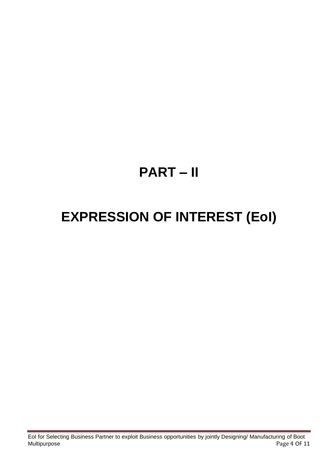# **PART – II**

# **EXPRESSION OF INTEREST (EoI)**

EoI for Selecting Business Partner to exploit Business opportunities by jointly Designing/ Manufacturing of Boot Multipurpose Page 4 OF 11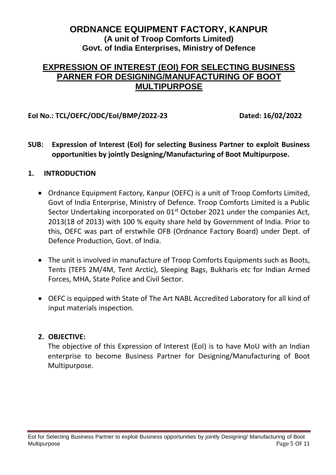#### **ORDNANCE EQUIPMENT FACTORY, KANPUR (A unit of Troop Comforts Limited) Govt. of India Enterprises, Ministry of Defence**

#### **EXPRESSION OF INTEREST (EOI) FOR SELECTING BUSINESS PARNER FOR DESIGNING/MANUFACTURING OF BOOT MULTIPURPOSE**

#### **EoI No.: TCL/OEFC/ODC/EoI/BMP/2022-23 Dated: 16/02/2022**

**SUB: Expression of Interest (EoI) for selecting Business Partner to exploit Business opportunities by jointly Designing/Manufacturing of Boot Multipurpose.**

#### **1. INTRODUCTION**

- Ordnance Equipment Factory, Kanpur (OEFC) is a unit of Troop Comforts Limited, Govt of India Enterprise, Ministry of Defence. Troop Comforts Limited is a Public Sector Undertaking incorporated on  $01<sup>st</sup>$  October 2021 under the companies Act, 2013(18 of 2013) with 100 % equity share held by Government of India. Prior to this, OEFC was part of erstwhile OFB (Ordnance Factory Board) under Dept. of Defence Production, Govt. of India.
- The unit is involved in manufacture of Troop Comforts Equipments such as Boots, Tents (TEFS 2M/4M, Tent Arctic), Sleeping Bags, Bukharis etc for Indian Armed Forces, MHA, State Police and Civil Sector.
- OEFC is equipped with State of The Art NABL Accredited Laboratory for all kind of input materials inspection.

#### **2. OBJECTIVE:**

The objective of this Expression of Interest (EoI) is to have MoU with an Indian enterprise to become Business Partner for Designing/Manufacturing of Boot Multipurpose.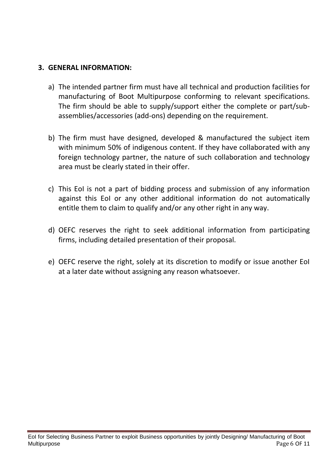#### **3. GENERAL INFORMATION:**

- a) The intended partner firm must have all technical and production facilities for manufacturing of Boot Multipurpose conforming to relevant specifications. The firm should be able to supply/support either the complete or part/subassemblies/accessories (add-ons) depending on the requirement.
- b) The firm must have designed, developed & manufactured the subject item with minimum 50% of indigenous content. If they have collaborated with any foreign technology partner, the nature of such collaboration and technology area must be clearly stated in their offer.
- c) This EoI is not a part of bidding process and submission of any information against this EoI or any other additional information do not automatically entitle them to claim to qualify and/or any other right in any way.
- d) OEFC reserves the right to seek additional information from participating firms, including detailed presentation of their proposal.
- e) OEFC reserve the right, solely at its discretion to modify or issue another EoI at a later date without assigning any reason whatsoever.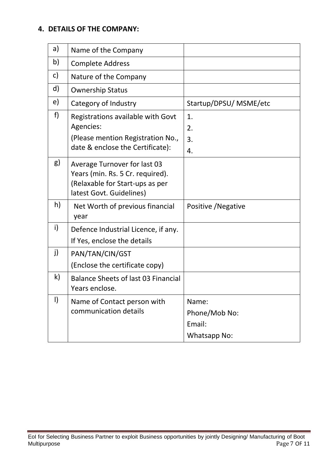#### **4. DETAILS OF THE COMPANY:**

| a)           | Name of the Company                                                                                                             |                                                         |
|--------------|---------------------------------------------------------------------------------------------------------------------------------|---------------------------------------------------------|
| b)           | <b>Complete Address</b>                                                                                                         |                                                         |
| C)           | Nature of the Company                                                                                                           |                                                         |
| d)           | <b>Ownership Status</b>                                                                                                         |                                                         |
| e)           | Category of Industry                                                                                                            | Startup/DPSU/ MSME/etc                                  |
| f)           | Registrations available with Govt<br>Agencies:<br>(Please mention Registration No.,<br>date & enclose the Certificate):         | 1.<br>2.<br>3.<br>4.                                    |
| g)           | Average Turnover for last 03<br>Years (min. Rs. 5 Cr. required).<br>(Relaxable for Start-ups as per<br>latest Govt. Guidelines) |                                                         |
| h)           | Net Worth of previous financial<br>year                                                                                         | Positive / Negative                                     |
| i)           | Defence Industrial Licence, if any.<br>If Yes, enclose the details                                                              |                                                         |
| j)           | PAN/TAN/CIN/GST<br>(Enclose the certificate copy)                                                                               |                                                         |
| $\mathsf{k}$ | <b>Balance Sheets of last 03 Financial</b><br>Years enclose.                                                                    |                                                         |
| $\vert$      | Name of Contact person with<br>communication details                                                                            | Name:<br>Phone/Mob No:<br>Email:<br><b>Whatsapp No:</b> |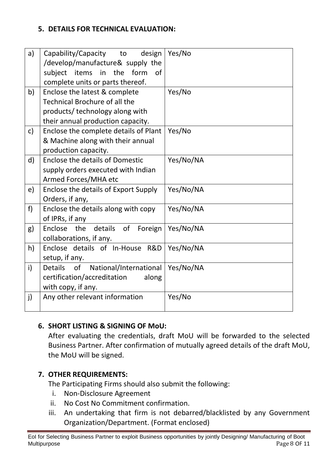#### **5. DETAILS FOR TECHNICAL EVALUATION:**

| a)           | Capability/Capacity to<br>design               | Yes/No    |
|--------------|------------------------------------------------|-----------|
|              | /develop/manufacture& supply the               |           |
|              | form<br>subject items in<br>the<br>0f          |           |
|              | complete units or parts thereof.               |           |
| b)           | Enclose the latest & complete                  | Yes/No    |
|              | Technical Brochure of all the                  |           |
|              | products/ technology along with                |           |
|              | their annual production capacity.              |           |
| $\mathsf{C}$ | Enclose the complete details of Plant          | Yes/No    |
|              | & Machine along with their annual              |           |
|              | production capacity.                           |           |
| $\mathsf{d}$ | <b>Enclose the details of Domestic</b>         | Yes/No/NA |
|              | supply orders executed with Indian             |           |
|              | Armed Forces/MHA etc                           |           |
| e)           | Enclose the details of Export Supply           | Yes/No/NA |
|              | Orders, if any,                                |           |
| f            | Enclose the details along with copy            | Yes/No/NA |
|              | of IPRs, if any                                |           |
| g)           | Enclose the<br>details of<br>Foreign           | Yes/No/NA |
|              | collaborations, if any.                        |           |
| h)           | Enclose details of In-House R&D                | Yes/No/NA |
|              | setup, if any.                                 |           |
| i)           | of<br>National/International<br><b>Details</b> | Yes/No/NA |
|              | certification/accreditation<br>along           |           |
|              | with copy, if any.                             |           |
| j)           | Any other relevant information                 | Yes/No    |
|              |                                                |           |
|              |                                                |           |

#### **6. SHORT LISTING & SIGNING OF MoU:**

After evaluating the credentials, draft MoU will be forwarded to the selected Business Partner. After confirmation of mutually agreed details of the draft MoU, the MoU will be signed.

#### **7. OTHER REQUIREMENTS:**

The Participating Firms should also submit the following:

- i. Non-Disclosure Agreement
- ii. No Cost No Commitment confirmation.
- iii. An undertaking that firm is not debarred/blacklisted by any Government Organization/Department. (Format enclosed)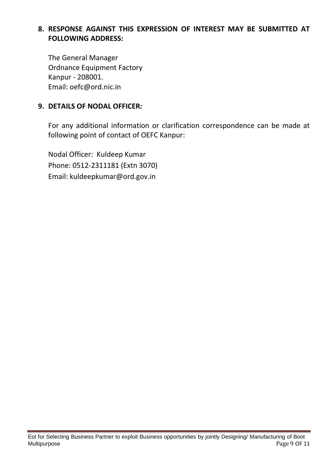#### **8. RESPONSE AGAINST THIS EXPRESSION OF INTEREST MAY BE SUBMITTED AT FOLLOWING ADDRESS:**

The General Manager Ordnance Equipment Factory Kanpur - 208001. Email: oefc@ord.nic.in

#### **9. DETAILS OF NODAL OFFICER:**

For any additional information or clarification correspondence can be made at following point of contact of OEFC Kanpur:

Nodal Officer: Kuldeep Kumar Phone: 0512-2311181 (Extn 3070) Email: kuldeepkumar@ord.gov.in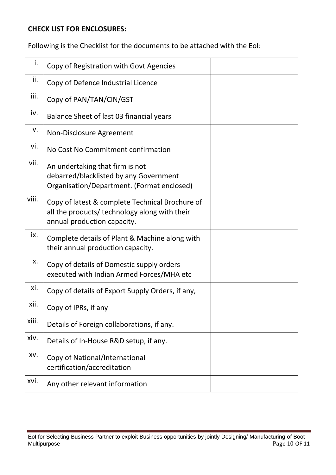#### **CHECK LIST FOR ENCLOSURES:**

Following is the Checklist for the documents to be attached with the EoI:

| i.    | Copy of Registration with Govt Agencies                                                                                         |
|-------|---------------------------------------------------------------------------------------------------------------------------------|
| ii.   | Copy of Defence Industrial Licence                                                                                              |
| iii.  | Copy of PAN/TAN/CIN/GST                                                                                                         |
| iv.   | Balance Sheet of last 03 financial years                                                                                        |
| v.    | Non-Disclosure Agreement                                                                                                        |
| vi.   | No Cost No Commitment confirmation                                                                                              |
| vii.  | An undertaking that firm is not<br>debarred/blacklisted by any Government<br>Organisation/Department. (Format enclosed)         |
| viii. | Copy of latest & complete Technical Brochure of<br>all the products/ technology along with their<br>annual production capacity. |
| ix.   | Complete details of Plant & Machine along with<br>their annual production capacity.                                             |
| х.    | Copy of details of Domestic supply orders<br>executed with Indian Armed Forces/MHA etc                                          |
| xi.   | Copy of details of Export Supply Orders, if any,                                                                                |
| xii.  | Copy of IPRs, if any                                                                                                            |
| xiii. | Details of Foreign collaborations, if any.                                                                                      |
| xiv.  | Details of In-House R&D setup, if any.                                                                                          |
| XV.   | Copy of National/International<br>certification/accreditation                                                                   |
| xvi.  | Any other relevant information                                                                                                  |